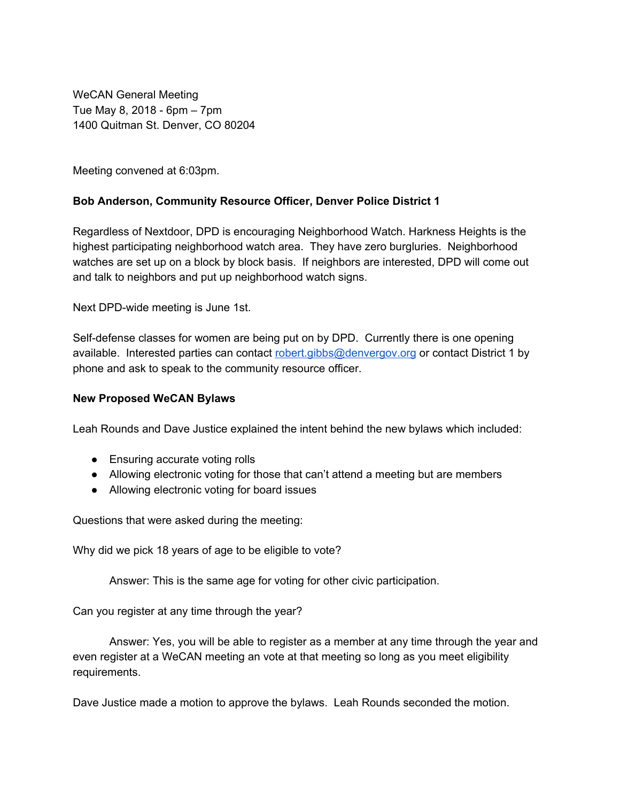WeCAN General Meeting Tue May 8, 2018 - 6pm – 7pm 1400 Quitman St. Denver, CO 80204

Meeting convened at 6:03pm.

### **Bob Anderson, Community Resource Officer, Denver Police District 1**

Regardless of Nextdoor, DPD is encouraging Neighborhood Watch. Harkness Heights is the highest participating neighborhood watch area. They have zero burgluries. Neighborhood watches are set up on a block by block basis. If neighbors are interested, DPD will come out and talk to neighbors and put up neighborhood watch signs.

Next DPD-wide meeting is June 1st.

Self-defense classes for women are being put on by DPD. Currently there is one opening available. Interested parties can contact [robert.gibbs@denvergov.org](mailto:robert.gibbs@denvergov.org) or contact District 1 by phone and ask to speak to the community resource officer.

#### **New Proposed WeCAN Bylaws**

Leah Rounds and Dave Justice explained the intent behind the new bylaws which included:

- Ensuring accurate voting rolls
- Allowing electronic voting for those that can't attend a meeting but are members
- Allowing electronic voting for board issues

Questions that were asked during the meeting:

Why did we pick 18 years of age to be eligible to vote?

Answer: This is the same age for voting for other civic participation.

Can you register at any time through the year?

Answer: Yes, you will be able to register as a member at any time through the year and even register at a WeCAN meeting an vote at that meeting so long as you meet eligibility requirements.

Dave Justice made a motion to approve the bylaws. Leah Rounds seconded the motion.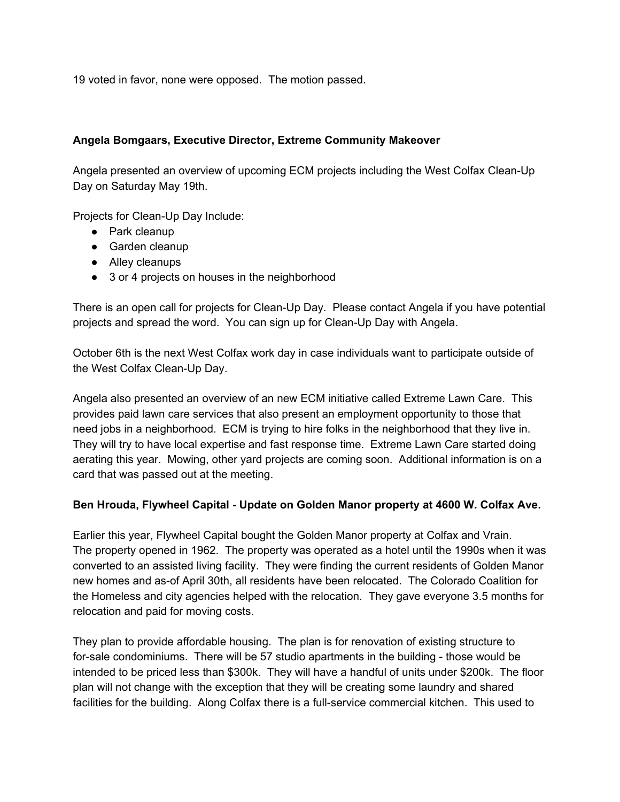19 voted in favor, none were opposed. The motion passed.

## **Angela Bomgaars, Executive Director, Extreme Community Makeover**

Angela presented an overview of upcoming ECM projects including the West Colfax Clean-Up Day on Saturday May 19th.

Projects for Clean-Up Day Include:

- Park cleanup
- Garden cleanup
- Alley cleanups
- 3 or 4 projects on houses in the neighborhood

There is an open call for projects for Clean-Up Day. Please contact Angela if you have potential projects and spread the word. You can sign up for Clean-Up Day with Angela.

October 6th is the next West Colfax work day in case individuals want to participate outside of the West Colfax Clean-Up Day.

Angela also presented an overview of an new ECM initiative called Extreme Lawn Care. This provides paid lawn care services that also present an employment opportunity to those that need jobs in a neighborhood. ECM is trying to hire folks in the neighborhood that they live in. They will try to have local expertise and fast response time. Extreme Lawn Care started doing aerating this year. Mowing, other yard projects are coming soon. Additional information is on a card that was passed out at the meeting.

## **Ben Hrouda, Flywheel Capital - Update on Golden Manor property at 4600 W. Colfax Ave.**

Earlier this year, Flywheel Capital bought the Golden Manor property at Colfax and Vrain. The property opened in 1962. The property was operated as a hotel until the 1990s when it was converted to an assisted living facility. They were finding the current residents of Golden Manor new homes and as-of April 30th, all residents have been relocated. The Colorado Coalition for the Homeless and city agencies helped with the relocation. They gave everyone 3.5 months for relocation and paid for moving costs.

They plan to provide affordable housing. The plan is for renovation of existing structure to for-sale condominiums. There will be 57 studio apartments in the building - those would be intended to be priced less than \$300k. They will have a handful of units under \$200k. The floor plan will not change with the exception that they will be creating some laundry and shared facilities for the building. Along Colfax there is a full-service commercial kitchen. This used to